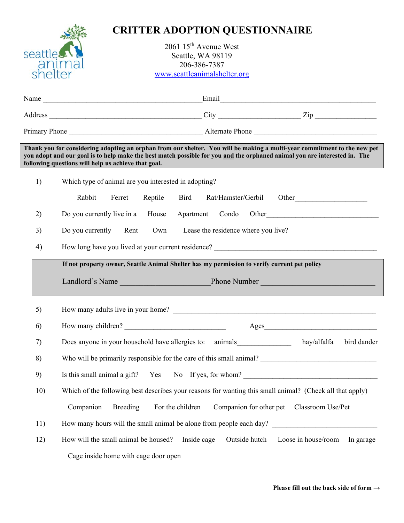

## **CRITTER ADOPTION QUESTIONNAIRE**

2061 15<sup>th</sup> Avenue West Seattle, WA 98119 206-386-7387 www.seattleanimalshelter.org

|     | Thank you for considering adopting an orphan from our shelter. You will be making a multi-year commitment to the new pet<br>you adopt and our goal is to help make the best match possible for you <u>and</u> the orphaned animal you are interested in. The<br>following questions will help us achieve that goal. |  |  |  |  |  |  |  |
|-----|---------------------------------------------------------------------------------------------------------------------------------------------------------------------------------------------------------------------------------------------------------------------------------------------------------------------|--|--|--|--|--|--|--|
| 1)  | Which type of animal are you interested in adopting?                                                                                                                                                                                                                                                                |  |  |  |  |  |  |  |
|     | Rabbit<br>Reptile Bird<br>Rat/Hamster/Gerbil Other<br>Ferret                                                                                                                                                                                                                                                        |  |  |  |  |  |  |  |
| 2)  | Do you currently live in a House Apartment Condo Other                                                                                                                                                                                                                                                              |  |  |  |  |  |  |  |
| 3)  | Do you currently Rent<br>Own<br>Lease the residence where you live?                                                                                                                                                                                                                                                 |  |  |  |  |  |  |  |
| 4)  |                                                                                                                                                                                                                                                                                                                     |  |  |  |  |  |  |  |
|     | If not property owner, Seattle Animal Shelter has my permission to verify current pet policy                                                                                                                                                                                                                        |  |  |  |  |  |  |  |
|     |                                                                                                                                                                                                                                                                                                                     |  |  |  |  |  |  |  |
| 5)  |                                                                                                                                                                                                                                                                                                                     |  |  |  |  |  |  |  |
| 6)  | How many children?                                                                                                                                                                                                                                                                                                  |  |  |  |  |  |  |  |
| 7)  | Does anyone in your household have allergies to: animals<br>hay/alfalfa<br>bird dander                                                                                                                                                                                                                              |  |  |  |  |  |  |  |
| 8)  |                                                                                                                                                                                                                                                                                                                     |  |  |  |  |  |  |  |
| 9)  | Is this small animal a gift? Yes No If yes, for whom?                                                                                                                                                                                                                                                               |  |  |  |  |  |  |  |
| 10) | Which of the following best describes your reasons for wanting this small animal? (Check all that apply)                                                                                                                                                                                                            |  |  |  |  |  |  |  |
|     | Companion<br><b>Breeding</b><br>For the children<br>Companion for other pet Classroom Use/Pet                                                                                                                                                                                                                       |  |  |  |  |  |  |  |
| 11) | How many hours will the small animal be alone from people each day?                                                                                                                                                                                                                                                 |  |  |  |  |  |  |  |
| 12) | How will the small animal be housed?<br>Inside cage<br>Outside hutch<br>Loose in house/room<br>In garage                                                                                                                                                                                                            |  |  |  |  |  |  |  |
|     | Cage inside home with cage door open                                                                                                                                                                                                                                                                                |  |  |  |  |  |  |  |